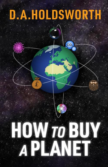## D.A.HOLDSWORTH

 $\overline{\mathsf{co}}$ 

## HOW TO BUY<br>APLANET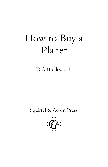## How to Buy a Planet

D.A.Holdsworth

Squirrel & Acorn Press

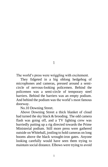1

The world's press were wriggling with excitement.

They fidgeted in a big oblong hedgehog of microphones and cameras, pressed around a semicircle of nervous-looking policemen. Behind the policemen was a semi-circle of temporary steel barriers. Behind the barriers was an empty podium. And behind the podium was the world's most famous doorway.

No.10 Downing Street.

Above Downing Street a thick blanket of cloud had turned the sky black & brooding. The odd camera flash was going off, and a TV lighting crew was hurriedly putting up a rig directed towards the Prime Ministerial podium. Still more press were gathered outside on Whitehall, jostling to hold cameras on long booms above the black wrought-iron gates. Anyone looking carefully would have seen them trying to maintain social distance. Elbows were trying to avoid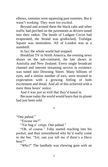elbows, tummies were squeezing past tummies. But it wasn't working. They were too excited.

Beyond and around them the black cabs and other traffic had perched on the pavements as drivers tuned into their radios. The bustle of Ludgate Circus had evaporated, the Strand was gridlocked, Trafalgar Square was motionless. All of London was at a standstill.

In fact the whole world had stopped.

Breakfast TV in North America, the evening news shows on the sub-continent, the late shows in Australia and New Zealand. Every single broadcast channel and internet streaming service in existence was tuned into Downing Street. Many billions of eyes, and a similar number of ears, were strained in expectation with a growing feeling of both excitement and dread. And all of this achieved with a mere three hours' notice.

And it was just as well that they'd tuned in.

Because today the world would learn that its planet had just been sold.

\*

"One pahnd."

"Excuse me?"

"Yer bag o' crisps. One pahnd."

"Oh, of course." Toby started reaching into his pocket, and then remembered why he'd really come to the bar. "Err, can you tell me if there's a Dave here?"

"*Who?*" The landlady was chewing gum with an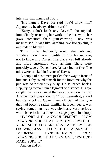intensity that unnerved Toby.

"His name's Dave. He said you'd know him? Apparently he always drinks here?"

"Sorry, dahn't knah any Daves," she replied, immediately resuming her work at the bar, while her jaws intensified their gum-chewing. Toby was mesmerised. It was like watching two boxers slug it out under a blanket.

Toby looked helplessly round the pub and wondered how it was possible, in this day and age, not to know any Daves. The place was full already and more customers were arriving. There were probably several Daves here. At least four or five. The odds were stacked in favour of Daves.

A couple of customers jostled their way in front of him and Toby asked himself for the first time why the pub was so ridiculously busy. He squeezed back a step, trying to maintain a figment of distance. His eye caught the news channel that was playing on the TV. A large clock was showing 11:55. Beneath it, a kind but stern-looking Government official, of the type that had become rather familiar in recent years, was saying something that was obviously very serious, while beneath him a ticker message played in a loop:

"IMPORTANT ANNOUNCEMENT FROM DOWNING STREET AT 12PM GMT, 1PM BST **∙** MAKE SURE YOU ARE NEAR A TELEVISION OR WIRELESS **∙** DO NOT BE ALARMED **∙** IMPORTANT ANNOUNCEMENT FROM DOWNING STREET AT 12PM GMT, 1PM BST **∙** MAKE SURE "

And on and on.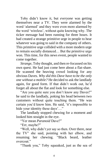Toby didn't know it, but *everyone* was getting themselves near a TV. They were alarmed by the word 'alarmed' and they were even more alarmed by the word 'wireless', without quite knowing why. The ticker message had been running for three hours. It had created a strange primitive urge in people to hear whatever was going to said in the company of others. This primitive urge collided with a more modern urge to remain socially distanced… But the primitive urge won. This time, for this news event, people wanted to come together.

*Strange*, Toby thought, and then re-focussed on his own quest. He had just come here about a flat-share. He scanned the heaving crowd looking for any obvious Daves. *Why did this Dave have to be the only one without a mobile?* He decided to ask the landlady again, for good form. If that didn't work out, he'd forget all about the flat and look for something else.

"Are you quite sure you don't know any Daves?" he said to the landlady, poking his head between two customers without quite touching them. "He was certain you'd know him. He said, 'it's impossible to hide your identity these days'…"

The landlady stopped chewing for a moment and looked him straight in the eye.

"Yer mean *Paranoid* Dave?"

"Err, maybe?"

"Well, why didn't yer say so then. Over there, near the TV" she said, pointing with her elbow, and resuming her chewing. "Black beard, leather overcoat."

"Thank you," Toby squeaked, just as the sea of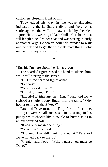customers closed in front of him.

Toby edged his way in the vague direction indicated by the landlady's elbow and there, on a settle against the wall, he saw a chubby, bearded figure. He was wearing a black skull t-shirt beneath a full length black leather coat and was staring intently at another large TV screen. Still half-minded to walk out the pub and forget the whole flatmate thing, Toby nudged his way towards him.

\*

"Err, hi, I'm here about the flat, are you—"

The bearded figure raised his hand to silence him, while still staring at the screen.

"BST?" the bearded figure asked.

"Err, yes?"

"What does it mean?"

"British Summer Time?"

"Exactly! *British Summer Time*." Paranoid Dave stabbed a single, pudgy finger into the table. "Why bother telling us that? *Why?*"

Paranoid Dave turned to Toby for the first time. His eyes were small and suspicious, sitting in his pudgy white cheeks like a couple of button studs in an over-stuffed sofa.

"It can only mean one thing."

"Which is?" Toby asked.

"I dunno. I'm still thinking about it." Paranoid Dave turned back to the TV.

"Great," said Toby. "Well, I guess you must be Dave?"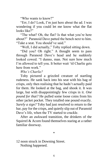"Who wants to know?"

"Err, I do? Look, I'm just here about the ad. I was wondering if you could let me know what the flat looks like?"

"The what? Oh, the flat? Is that what you're here about?" Paranoid Dave patted the bench next to him. "Take a seat. You should've said."

"Well, I did actually," Toby replied sitting down.

"Did you? Oh right." A thought seem to pass through Paranoid Dave's head and he suddenly looked cowed. "I dunno, man. Not sure how much I'm allowed to tell you. It better wait 'til Charlie gets here from work."

*Who's Charlie?* 

Toby pictured a grizzled creature of startling rudeness. He sank back into his seat with his bag of crisps, only then realising that he hadn't actually paid for them. He looked at the bag, and shook it. It was large, but with disappointingly few crisps in it. *One pound for that?* He pulled some loose coins from his other jacket pocket. They totalled one pound exactly. *Surely a sign?* Toby had just resolved to return to the bar, pay for the crisps, and quietly slip out of Paranoid Dave's life, when the TV started to crackle.

After an awkward transition, the drinkers of the Squirrel & Acorn found themselves staring at a rather familiar doorway.

\*

12 noon struck in Downing Street. Nothing happened.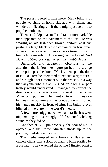The press fidgeted a little more. Many billions of people watching at home fidgeted with them, and wondered – fleetingly – if there might just be time to pop the kettle on.

Then at 12:03pm, a small and rather unremarkable man appeared on the pavement to the left. He was wearing an old-fashioned brown janitor's coat and pushing a large black plastic container on four small wheels. The press and their cameras turned towards him, a little uncertain. A few sniggers broke out. *Had Downing Street forgotten to put their rubbish out?*

Unhurried, and apparently oblivious to the attention, the janitor-like figure pushed his strange contraption past the door of No.11, then up to the door of No.10. Here he attempted to execute a right turn – and struggled for a moment with the wheels, in a way that anyone who's ever pushed an ageing airport trolley would understand – managed to correct the direction, and came to a rest just next to the Prime Minister's podium. The janitor took up position between the podium and his contraption and folded his hands meekly in front of him. His bulging eyes blinked in the glare of the world's media.

A few more sniggers. A few camera flashes went off, making a disarmingly old-fashioned clicking sound as they did so.

And then at 12:05pm precisely, the door of No.10 opened, and the Prime Minister strode up to the podium, confident and calm.

The media erupted in a frenzy of flashes and camera clicks, like a flock of wading birds startled by a predator. They watched the Prime Minister plant a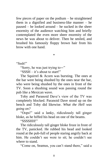few pieces of paper on the podium – he straightened them in a dignified and business-like manner – he paused – he looked around – he sucked in the sheer enormity of the audience watching him and briefly contemplated the even more sheer enormity of the news he was about to deliver. Then he smiled, and brushed his famously floppy brown hair from his brow with one hand.

\*

"Sssh!"

"Sorry, he was just trying to—"

"SSSH – it's about to start!"

The Squirrel & Acorn was bursting. The ones at the bar were being shushed by the ones near the bar, who were being shushed by the ones in front of the TV. Soon a shushing sound was passing round the pub like a Mexican wave.

Toby and Paranoid Dave's view of the TV was completely blocked. Paranoid Dave stood up on the bench and Toby did likewise. *What the Hell was going on?*

"Oops!" said a lanky, ridiculously tall ginger bloke, as he biffed his head on one of the beams.

"SSSSHH!"

The ridiculously tall ginger bloke froze in front of the TV, panicked. He rubbed his head and looked round at the pub-full of people staring angrily back at him. He couldn't see were to sit; he couldn't see where to stand.

"Come on, Seamus, you can't stand there," said a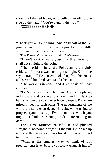short, dark-haired bloke, who pulled him off to one side by the hand. "You're bang in the way."

"SSSSSSSSSSHHHHH!"

\*

"Thank you all for coming. And on behalf of the G7 group of nations, I'd like to apologise for the slightly abrupt nature of this press conference."

The Prime Minster was brisk. *Professional.*

"I don't want to waste your time this morning. I shall get straight to the point.

"The world is in crisis. Politicians are rightly criticised for not always telling it straight. So let me say it straight." He paused, looked up from his notes, and several hundred cameras flashed at him.

"The world is in crisis, and it's a crisis of many colours.

"Let's start with the debt crisis. Across the planet, individuals and corporations are mired in debt to banks, whom they can never hope to repay. Banks are mired in debt to each other. The governments of the world are sunk even deeper in debt, while trying to prop everyone else up. Even countries, which you might not think are running on debt, are running on deht"

The Prime Minister paused. He had plunged straight in, no point in sugaring the pill. He looked up and saw the press corps was transfixed. *Yep*, he said to himself, *I thought so.*

"What is the simplest way to think of this predicament? Even before *you-know-what*, ah-hm…"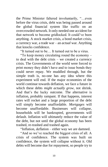the Prime Minister faltered involuntarily, "…even before the virus crisis, debt was being passed around the global financial system like traffic on an overcrowded network. It only needed one accident for that network to become gridlocked. It could've been anything. A stock market crisis, a bond market crisis, a currency war, a trade war – an *actual* war. Anything that knocks confidence.

"It turned out to be… It turned out to be a virus.

"To keep money circulating round the economy – to deal with the debt crisis – we created a currency crisis. The Governments of the world were forced to print money they didn't have and to issue bonds they could never repay. We muddled through, but the simple truth is, no-one has any idea where this experiment will end. If the major economies of the world continue towards deflation, we face a future in which these debts *might actually grow*, not shrink. And that's the lucky outcome. The alternative is inflation, probably rampant. If that happens, interest rates will rocket and a large proportion of the debt will simply become unaffordable. *Mortgages* will become unaffordable. Businesses will collapse, households will be bankrupted, governments will default. Inflation will ultimately reduce the value of the debt, but not until the global economy has been trashed, re-trashed and trashed again.

"Inflation, deflation – either way we are damned.

"And so we've reached the biggest crisis of all. A crisis of confidence. The system was built on confidence, the system will collapse without it. Old debts will become due for repayment, so people try to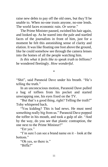raise new debts to pay off the old ones, but they'll be unable to. When no-one trusts anyone, no-one lends. The world faces economic ruin. *Or worse.*"

The Prime Minister paused, swished his hair again, and looked up. As he stared into the pale and startled faces of the journalists in front of him, just for a moment he felt this astonishing sense of clarity and elation. It was like floating one foot above the ground, like he could somehow see through the camera lenses into the homes of all the people watching him.

*Is this what it feels like to speak truth to billions?* he wondered fleetingly. *How wonderful*.

\*

"Shit", said Paranoid Dave under his breath. "He's telling the truth."

In an unconcscious motion, Paranoid Dave pulled a bag of toffees from his pocket and started unwrapping one, his eyes fixed on the TV.

"But that's a good thing, right? Telling the truth?" Toby whispered back.

"You kidding? This is bad news. He must need something really big from us." Paranoid Dave popped the toffee in his mouth, and took a gulp of ale. "And by the way, do you see that plastic contraption, the one next to the Prime Minister?"

"Err yes."

"I'm sure I can see a brand name on it – look at the bottom."

"Oh yes, so there is." "Biffa?"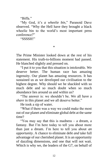"Biffa"

"My God, it's *a wheelie bin*," Paranoid Dave observed. "Why the Hell have they brought a black wheelie bin to the world's most important press conference?"

"SSSSH!"

\*

The Prime Minister looked down at the rest of his statement. His truth-to-billions moment had passed. He blanched slightly and pressed on.

"I put it to you that this situation is intolerable. We deserve better. The human race has amazing ingenuity. Our planet has amazing resources. It has sustained us as we developed our civilisation to the highest degree. Why should we be shackled with so much debt and so much doubt when so much abundance lies around us and within us?

"The answer is: we shouldn't be. We all have a *share* in this planet and we all deserve better."

He took a sip of water.

"What if there was a way we could make the most out of our planet *and* eliminate global debt at the same time?

"You may say that this is madness – a dream, a fantasy. But I'm here today to tell you about more than just a dream. I'm here to tell you about *an opportunity*. A chance to eliminate debt *and* take full advantage of our cherished planet. It is an opportunity of dazzling dimensions, and one that will not wait. Which is why we, the leaders of the G7, on behalf of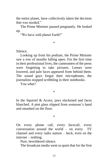the entire planet, have collectively taken the decision that was needed."

The Prime Minister paused pregnantly. He looked up.

"We have sold planet Earth!"

\*

Silence.

Looking up from his podium, the Prime Minister saw a row of mouths falling open. For the first time in their professional lives, the cameramen of the press were forgetting to take pictures. Lenses were lowered, and pale faces appeared from behind them. The sound guys forgot their microphones, the journalists stopped scribbling in their notebooks.

You *what?*

\*

In the Squirrel & Acorn, jaws slackened and faces blanched. A pint glass slipped from someone's hand and smashed on the floor.

\*

On every phone call, every facecall, every conversation around the world – on every TV channel and every radio station – heck, even on the internet – nothing.

Pure, bewildered silence.

The broadcast media went so quiet that for the first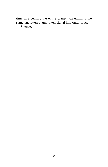time in a century the entire planet was emitting the same uncluttered, unbroken signal into outer space. Silence.